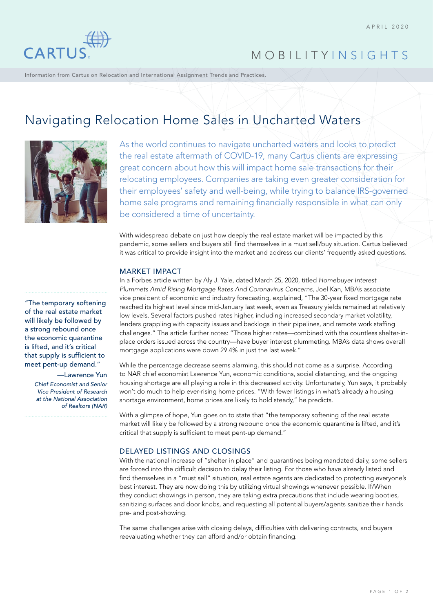

## MOBILITY INSIGHTS

Information from Cartus on Relocation and International Assignment Trends and Practices.

# Navigating Relocation Home Sales in Uncharted Waters



As the world continues to navigate uncharted waters and looks to predict the real estate aftermath of COVID-19, many Cartus clients are expressing great concern about how this will impact home sale transactions for their relocating employees. Companies are taking even greater consideration for their employees' safety and well-being, while trying to balance IRS-governed home sale programs and remaining financially responsible in what can only be considered a time of uncertainty.

With widespread debate on just how deeply the real estate market will be impacted by this pandemic, some sellers and buyers still find themselves in a must sell/buy situation. Cartus believed it was critical to provide insight into the market and address our clients' frequently asked questions.

#### MARKET IMPACT

In a Forbes article written by Aly J. Yale, dated March 25, 2020, titled *Homebuyer Interest Plummets Amid Rising Mortgage Rates And Coronavirus Concerns*, Joel Kan, MBA's associate vice president of economic and industry forecasting, explained, "The 30-year fixed mortgage rate reached its highest level since mid-January last week, even as Treasury yields remained at relatively low levels. Several factors pushed rates higher, including increased secondary market volatility, lenders grappling with capacity issues and backlogs in their pipelines, and remote work staffing challenges." The article further notes: "Those higher rates—combined with the countless shelter-inplace orders issued across the country—have buyer interest plummeting. MBA's data shows overall mortgage applications were down 29.4% in just the last week."

While the percentage decrease seems alarming, this should not come as a surprise. According to NAR chief economist Lawrence Yun, economic conditions, social distancing, and the ongoing housing shortage are all playing a role in this decreased activity. Unfortunately, Yun says, it probably won't do much to help ever-rising home prices. "With fewer listings in what's already a housing shortage environment, home prices are likely to hold steady," he predicts.

With a glimpse of hope, Yun goes on to state that "the temporary softening of the real estate market will likely be followed by a strong rebound once the economic quarantine is lifted, and it's critical that supply is sufficient to meet pent-up demand."

#### DELAYED LISTINGS AND CLOSINGS

With the national increase of "shelter in place" and quarantines being mandated daily, some sellers are forced into the difficult decision to delay their listing. For those who have already listed and find themselves in a "must sell" situation, real estate agents are dedicated to protecting everyone's best interest. They are now doing this by utilizing virtual showings whenever possible. If/When they conduct showings in person, they are taking extra precautions that include wearing booties, sanitizing surfaces and door knobs, and requesting all potential buyers/agents sanitize their hands pre- and post-showing.

The same challenges arise with closing delays, difficulties with delivering contracts, and buyers reevaluating whether they can afford and/or obtain financing.

"The temporary softening of the real estate market will likely be followed by a strong rebound once the economic quarantine is lifted, and it's critical that supply is sufficient to meet pent-up demand."

> —Lawrence Yun *Chief Economist and Senior Vice President of Research at the National Association of Realtors (NAR)*